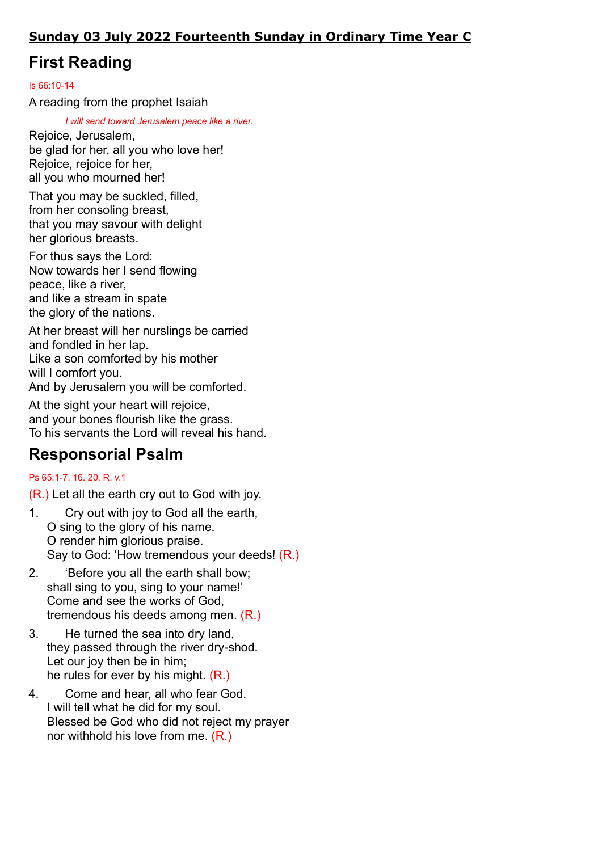### Sunday 03 July 2022 Fourteenth Sunday in Ordinary Time Year C

# First Reading

Is 66:10-14

A reading from the prophet Isaiah

I will send toward Jerusalem peace like a river.

Rejoice, Jerusalem, be glad for her, all you who love her! Rejoice, rejoice for her, all you who mourned her!

That you may be suckled, filled, from her consoling breast, that you may savour with delight her glorious breasts.

For thus says the Lord: Now towards her I send flowing peace, like a river, and like a stream in spate the glory of the nations.

At her breast will her nurslings be carried and fondled in her lap. Like a son comforted by his mother will I comfort you. And by Jerusalem you will be comforted.

At the sight your heart will rejoice, and your bones flourish like the grass. To his servants the Lord will reveal his hand.

## Responsorial Psalm

### Ps 65:1-7. 16. 20. R. v.1

(R.) Let all the earth cry out to God with joy.

- 1. Cry out with joy to God all the earth, O sing to the glory of his name. O render him glorious praise. Say to God: 'How tremendous your deeds! (R.)
- 2. 'Before you all the earth shall bow; shall sing to you, sing to your name!' Come and see the works of God, tremendous his deeds among men. (R.)
- 3. He turned the sea into dry land, they passed through the river dry-shod. Let our joy then be in him; he rules for ever by his might. (R.)
- 4. Come and hear, all who fear God. I will tell what he did for my soul. Blessed be God who did not reject my prayer nor withhold his love from me. (R.)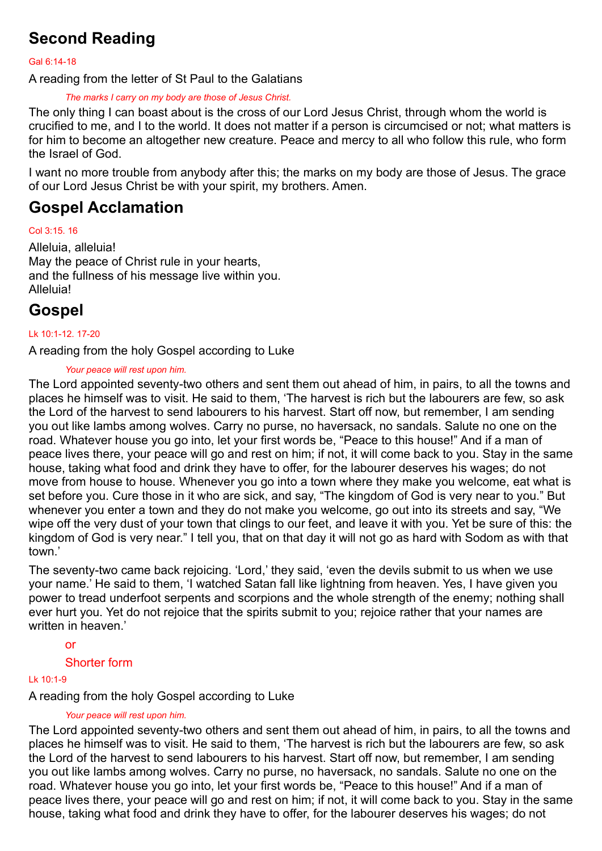# Second Reading

#### Gal 6:14-18

A reading from the letter of St Paul to the Galatians

The marks I carry on my body are those of Jesus Christ.

The only thing I can boast about is the cross of our Lord Jesus Christ, through whom the world is crucified to me, and I to the world. It does not matter if a person is circumcised or not; what matters is for him to become an altogether new creature. Peace and mercy to all who follow this rule, who form the Israel of God.

I want no more trouble from anybody after this; the marks on my body are those of Jesus. The grace of our Lord Jesus Christ be with your spirit, my brothers. Amen.

## Gospel Acclamation

### Col 3:15. 16

Alleluia, alleluia! May the peace of Christ rule in your hearts, and the fullness of his message live within you. Alleluia!

## **Gospel**

### Lk 10:1-12. 17-20

A reading from the holy Gospel according to Luke

### Your peace will rest upon him.

The Lord appointed seventy-two others and sent them out ahead of him, in pairs, to all the towns and places he himself was to visit. He said to them, 'The harvest is rich but the labourers are few, so ask the Lord of the harvest to send labourers to his harvest. Start off now, but remember, I am sending you out like lambs among wolves. Carry no purse, no haversack, no sandals. Salute no one on the road. Whatever house you go into, let your first words be, "Peace to this house!" And if a man of peace lives there, your peace will go and rest on him; if not, it will come back to you. Stay in the same house, taking what food and drink they have to offer, for the labourer deserves his wages; do not move from house to house. Whenever you go into a town where they make you welcome, eat what is set before you. Cure those in it who are sick, and say, "The kingdom of God is very near to you." But whenever you enter a town and they do not make you welcome, go out into its streets and say, "We wipe off the very dust of your town that clings to our feet, and leave it with you. Yet be sure of this: the kingdom of God is very near." I tell you, that on that day it will not go as hard with Sodom as with that town.'

The seventy-two came back rejoicing. 'Lord,' they said, 'even the devils submit to us when we use your name.' He said to them, 'I watched Satan fall like lightning from heaven. Yes, I have given you power to tread underfoot serpents and scorpions and the whole strength of the enemy; nothing shall ever hurt you. Yet do not rejoice that the spirits submit to you; rejoice rather that your names are written in heaven.'

### or

### Shorter form

### Lk 10:1-9

A reading from the holy Gospel according to Luke

### Your peace will rest upon him.

The Lord appointed seventy-two others and sent them out ahead of him, in pairs, to all the towns and places he himself was to visit. He said to them, 'The harvest is rich but the labourers are few, so ask the Lord of the harvest to send labourers to his harvest. Start off now, but remember, I am sending you out like lambs among wolves. Carry no purse, no haversack, no sandals. Salute no one on the road. Whatever house you go into, let your first words be, "Peace to this house!" And if a man of peace lives there, your peace will go and rest on him; if not, it will come back to you. Stay in the same house, taking what food and drink they have to offer, for the labourer deserves his wages; do not